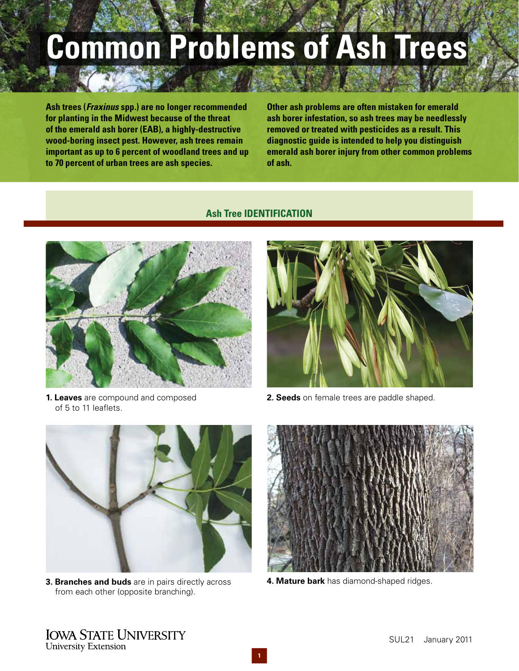# **Common Problems of Ash Trees**

**Ash trees (Fraxinus spp.) are no longer recommended for planting in the Midwest because of the threat of the emerald ash borer (EAB), a highly-destructive wood-boring insect pest. However, ash trees remain important as up to 6 percent of woodland trees and up to 70 percent of urban trees are ash species.**

**Other ash problems are often mistaken for emerald ash borer infestation, so ash trees may be needlessly removed or treated with pesticides as a result. This diagnostic guide is intended to help you distinguish emerald ash borer injury from other common problems of ash.**

# **Ash Tree IDENTIFICATION**



**1. Leaves** are compound and composed of 5 to 11 leaflets.



**2. Seeds** on female trees are paddle shaped.



**3. Branches and buds** are in pairs directly across from each other (opposite branching).



**4. Mature bark** has diamond-shaped ridges.

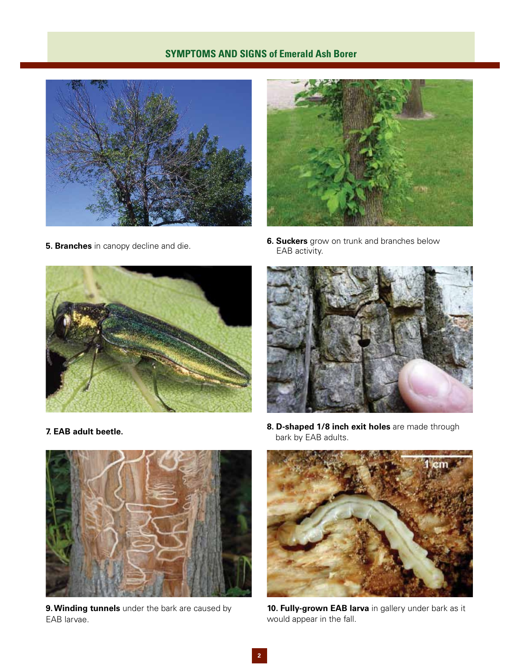# **SYMPTOMS AND SIGNS of Emerald Ash Borer**





**6. Suckers** grow on trunk and branches below **5. Branches** in canopy decline and die. **EAB activity.** EAB activity.







EAB larvae. We are seen to be a set of the fall of the fall.

**8. D-shaped 1/8 inch exit holes** are made through **7. EAB adult beetle. 7. EAB adults.** *bark by EAB adults.* 



**9.Winding tunnels** under the bark are caused by **10. Fully-grown EAB larva** in gallery under bark as it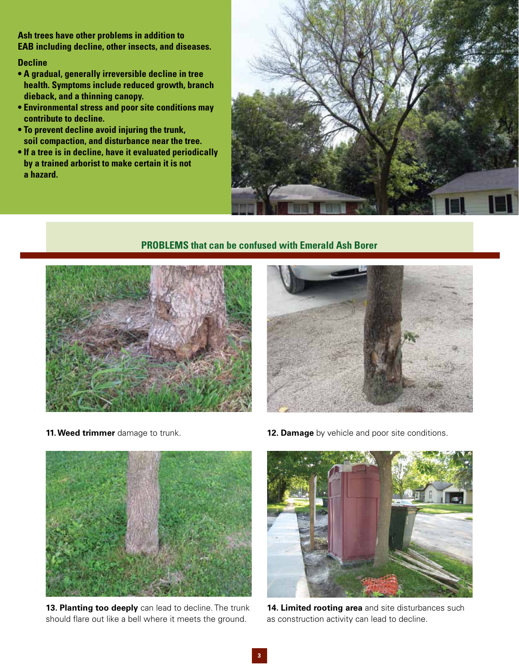**Ash trees have other problems in addition to EAB including decline, other insects, and diseases.** 

#### **Decline**

- **A gradual, generally irreversible decline in tree health. Symptoms include reduced growth, branch dieback, and a thinning canopy.**
- **Environmental stress and poor site conditions may contribute to decline.**
- **To prevent decline avoid injuring the trunk, soil compaction, and disturbance near the tree.**
- **If a tree is in decline, have it evaluated periodically by a trained arborist to make certain it is not a hazard.**



# **PROBLEMS that can be confused with Emerald Ash Borer**







13. Planting too deeply can lead to decline. The trunk should flare out like a bell where it meets the ground.

**11. Weed trimmer** damage to trunk. **12. Damage** by vehicle and poor site conditions.



**14. Limited rooting area** and site disturbances such as construction activity can lead to decline.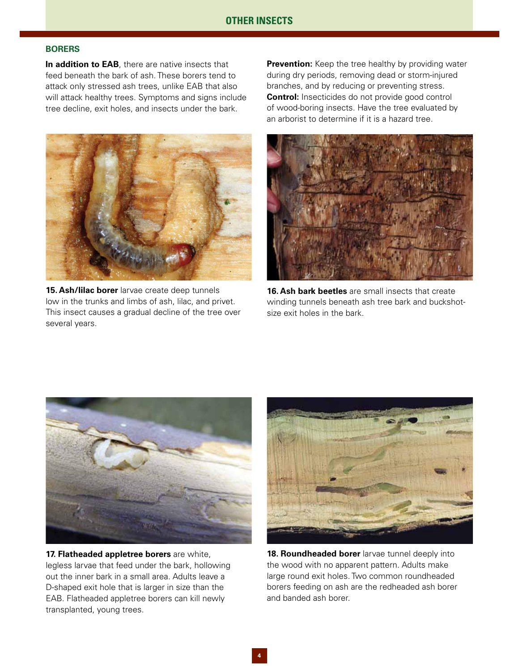#### **BORERS**

**In addition to EAB**, there are native insects that feed beneath the bark of ash. These borers tend to attack only stressed ash trees, unlike EAB that also will attack healthy trees. Symptoms and signs include tree decline, exit holes, and insects under the bark.



**15. Ash/lilac borer** larvae create deep tunnels low in the trunks and limbs of ash, lilac, and privet. This insect causes a gradual decline of the tree over several years.

**Prevention:** Keep the tree healthy by providing water during dry periods, removing dead or storm-injured branches, and by reducing or preventing stress. **Control:** Insecticides do not provide good control of wood-boring insects. Have the tree evaluated by an arborist to determine if it is a hazard tree.



**16. Ash bark beetles** are small insects that create winding tunnels beneath ash tree bark and buckshotsize exit holes in the bark.



**17. Flatheaded appletree borers** are white, legless larvae that feed under the bark, hollowing out the inner bark in a small area. Adults leave a D-shaped exit hole that is larger in size than the EAB. Flatheaded appletree borers can kill newly transplanted, young trees.



**18. Roundheaded borer** larvae tunnel deeply into the wood with no apparent pattern. Adults make large round exit holes. Two common roundheaded borers feeding on ash are the redheaded ash borer and banded ash borer.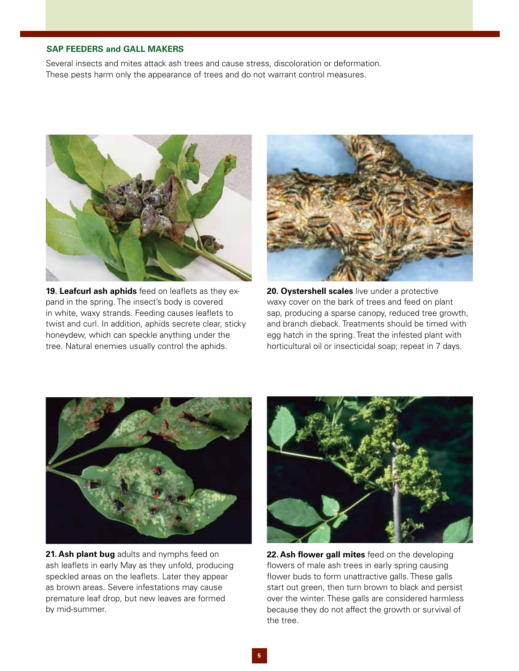#### **SAP FEEDERS and GALL MAKERS**

Several insects and mites attack ash trees and cause stress, discoloration or deformation. These pests harm only the appearance of trees and do not warrant control measures.



**19. Leafcurl ash aphids** feed on leaflets as they expand in the spring. The insect's body is covered in white, waxy strands. Feeding causes leaflets to twist and curl. In addition, aphids secrete clear, sticky honeydew, which can speckle anything under the tree. Natural enemies usually control the aphids.



**20. Oystershell scales** live under a protective waxy cover on the bark of trees and feed on plant sap, producing a sparse canopy, reduced tree growth, and branch dieback. Treatments should be timed with egg hatch in the spring. Treat the infested plant with horticultural oil or insecticidal soap; repeat in 7 days.



**21. Ash plant bug** adults and nymphs feed on ash leaflets in early May as they unfold, producing speckled areas on the leaflets. Later they appear as brown areas. Severe infestations may cause premature leaf drop, but new leaves are formed by mid-summer.



**22. Ash flower gall mites** feed on the developing flowers of male ash trees in early spring causing flower buds to form unattractive galls. These galls start out green, then turn brown to black and persist over the winter. These galls are considered harmless because they do not affect the growth or survival of the tree.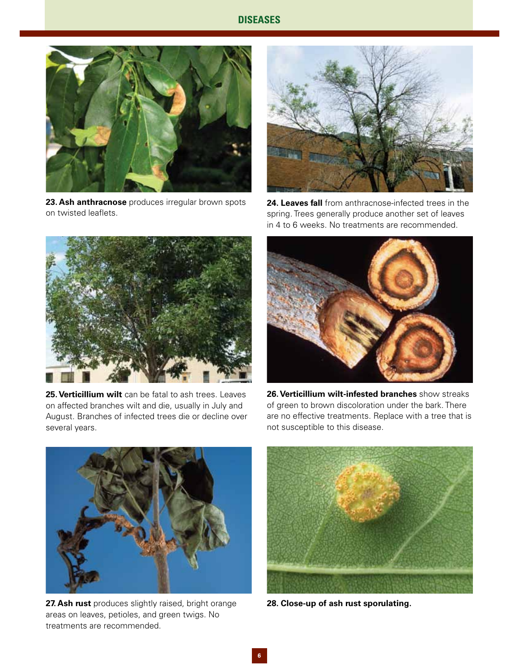### **DISEASES**



**23. Ash anthracnose** produces irregular brown spots **24. Leaves fall** from anthracnose-infected trees in the



on twisted leaflets. spring. Trees generally produce another set of leaves in 4 to 6 weeks. No treatments are recommended.



**25.Verticillium wilt** can be fatal to ash trees. Leaves on affected branches wilt and die, usually in July and August. Branches of infected trees die or decline over several years.



**26.Verticillium wilt-infested branches** show streaks of green to brown discoloration under the bark. There are no effective treatments. Replace with a tree that is not susceptible to this disease.



**27. Ash rust** produces slightly raised, bright orange areas on leaves, petioles, and green twigs. No treatments are recommended.



**28. Close-up of ash rust sporulating.**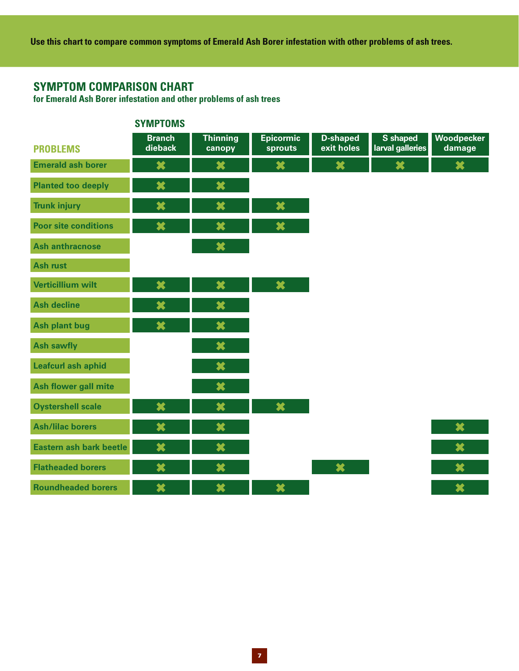**Use this chart to compare common symptoms of Emerald Ash Borer infestation with other problems of ash trees.**

# **SYMPTOM COMPARISON CHART**

**for Emerald Ash Borer infestation and other problems of ash trees** 

|                             | <b>SYMPTOMS</b>          |                           |                             |                               |                              |                          |
|-----------------------------|--------------------------|---------------------------|-----------------------------|-------------------------------|------------------------------|--------------------------|
| <b>PROBLEMS</b>             | <b>Branch</b><br>dieback | <b>Thinning</b><br>canopy | <b>Epicormic</b><br>sprouts | <b>D-shaped</b><br>exit holes | S shaped<br>larval galleries | Woodpecker<br>damage     |
| <b>Emerald ash borer</b>    | ×                        | ×                         | ×                           | $\boldsymbol{\ast}$           | $\boldsymbol{\ast}$          | $\boldsymbol{\varkappa}$ |
| <b>Planted too deeply</b>   | ×                        | ×                         |                             |                               |                              |                          |
| <b>Trunk injury</b>         | ×                        | ×                         | ×                           |                               |                              |                          |
| <b>Poor site conditions</b> | ×                        | ×                         | ×                           |                               |                              |                          |
| <b>Ash anthracnose</b>      |                          | ×                         |                             |                               |                              |                          |
| <b>Ash rust</b>             |                          |                           |                             |                               |                              |                          |
| <b>Verticillium wilt</b>    | ×                        | $\boldsymbol{\varkappa}$  | $\pmb{\times}$              |                               |                              |                          |
| <b>Ash decline</b>          | ×                        | ×                         |                             |                               |                              |                          |
| <b>Ash plant bug</b>        | ×                        | ×                         |                             |                               |                              |                          |
| <b>Ash sawfly</b>           |                          | $\boldsymbol{\varkappa}$  |                             |                               |                              |                          |
| <b>Leafcurl ash aphid</b>   |                          | $\boldsymbol{\varkappa}$  |                             |                               |                              |                          |
| <b>Ash flower gall mite</b> |                          | ×                         |                             |                               |                              |                          |
| <b>Oystershell scale</b>    | ×                        | ×                         | $\pmb{\times}$              |                               |                              |                          |
| <b>Ash/lilac borers</b>     | ×                        | ×                         |                             |                               |                              | ×                        |
| Eastern ash bark beetle     | $\boldsymbol{\ast}$      | ×                         |                             |                               |                              | ×                        |
| <b>Flatheaded borers</b>    | ×                        | ×                         |                             | $\bigstar$                    |                              | ×                        |
| <b>Roundheaded borers</b>   | ×                        | ×                         | ×                           |                               |                              | ×                        |